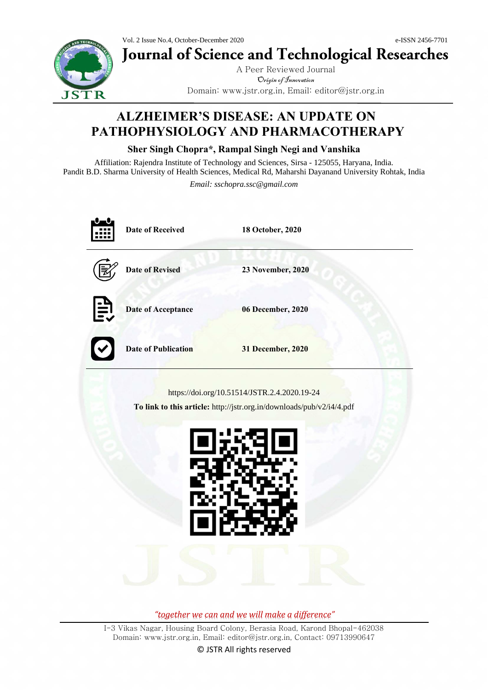Vol. 2 Issue No.4, October-December 2020 e-ISSN 2456-7701





Journal of Science and Technological Researches

A Peer Reviewed Journal Origin of Innovation Domain: www.jstr.org.in, Email: editor@jstr.org.in

# **ALZHEIMER'S DISEASE: AN UPDATE ON PATHOPHYSIOLOGY AND PHARMACOTHERAPY**

# **Sher Singh Chopra\*, Rampal Singh Negi and Vanshika**

Affiliation: Rajendra Institute of Technology and Sciences, Sirsa - 125055, Haryana, India. Pandit B.D. Sharma University of Health Sciences, Medical Rd, Maharshi Dayanand University Rohtak, India

*Email: sschopra.ssc@gmail.com*

|                                                                                                                       | <b>Date of Received</b>    | 18 October, 2020  |
|-----------------------------------------------------------------------------------------------------------------------|----------------------------|-------------------|
|                                                                                                                       | <b>Date of Revised</b>     | 23 November, 2020 |
| 皀                                                                                                                     | <b>Date of Acceptance</b>  | 06 December, 2020 |
|                                                                                                                       | <b>Date of Publication</b> | 31 December, 2020 |
| https://doi.org/10.51514/JSTR.2.4.2020.19-24<br>To link to this article: http://jstr.org.in/downloads/pub/v2/i4/4.pdf |                            |                   |

*"together we can and we will make a difference"*

I-3 Vikas Nagar, Housing Board Colony, Berasia Road, Karond Bhopal-462038 Domain: www.jstr.org.in, Email: editor@jstr.org.in, Contact: 09713990647

© JSTR All rights reserved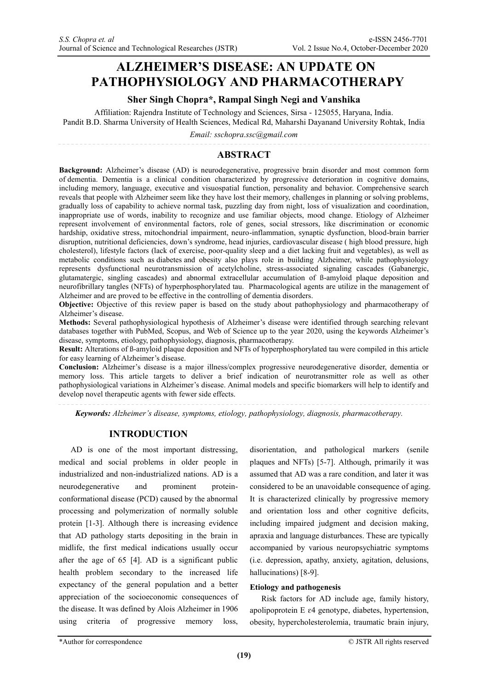# **ALZHEIMER'S DISEASE: AN UPDATE ON PATHOPHYSIOLOGY AND PHARMACOTHERAPY**

# **Sher Singh Chopra\*, Rampal Singh Negi and Vanshika**

Affiliation: Rajendra Institute of Technology and Sciences, Sirsa - 125055, Haryana, India. Pandit B.D. Sharma University of Health Sciences, Medical Rd, Maharshi Dayanand University Rohtak, India

*Email: sschopra.ssc@gmail.com*

# **ABSTRACT**

**Background:** Alzheimer's disease (AD) is neurodegenerative, progressive brain disorder and most common form of dementia. Dementia is a clinical condition characterized by progressive deterioration in cognitive domains, including memory, language, executive and visuospatial function, personality and behavior. Comprehensive search reveals that people with Alzheimer seem like they have lost their memory, challenges in planning or solving problems, gradually loss of capability to achieve normal task, puzzling day from night, loss of visualization and coordination, inappropriate use of words, inability to recognize and use familiar objects, mood change. Etiology of Alzheimer represent involvement of environmental factors, role of genes, social stressors, like discrimination or economic hardship, oxidative stress, mitochondrial impairment, neuro-inflammation, synaptic dysfunction, blood-brain barrier disruption, nutritional deficiencies, down's syndrome, head injuries, cardiovascular disease ( high blood pressure, high cholesterol), lifestyle factors (lack of exercise, poor-quality sleep and a diet lacking fruit and vegetables), as well as metabolic conditions such as diabetes and obesity also plays role in building Alzheimer, while pathophysiology represents dysfunctional neurotransmission of acetylcholine, stress-associated signaling cascades (Gabanergic, glutamatergic, singling cascades) and abnormal extracellular accumulation of ß-amyloid plaque deposition and neurofibrillary tangles (NFTs) of hyperphosphorylated tau. Pharmacological agents are utilize in the management of Alzheimer and are proved to be effective in the controlling of dementia disorders.

**Objective:** Objective of this review paper is based on the study about pathophysiology and pharmacotherapy of Alzheimer's disease.

**Methods:** Several pathophysiological hypothesis of Alzheimer's disease were identified through searching relevant databases together with PubMed, Scopus, and Web of Science up to the year 2020, using the keywords Alzheimer's disease, symptoms, etiology, pathophysiology, diagnosis, pharmacotherapy.

**Result:** Alterations of ß-amyloid plaque deposition and NFTs of hyperphosphorylated tau were compiled in this article for easy learning of Alzheimer's disease.

**Conclusion:** Alzheimer's disease is a major illness/complex progressive neurodegenerative disorder, dementia or memory loss. This article targets to deliver a brief indication of neurotransmitter role as well as other pathophysiological variations in Alzheimer's disease. Animal models and specific biomarkers will help to identify and develop novel therapeutic agents with fewer side effects.

*Keywords: Alzheimer's disease, symptoms, etiology, pathophysiology, diagnosis, pharmacotherapy.*

# **INTRODUCTION**

AD is one of the most important distressing, medical and social problems in older people in industrialized and non-industrialized nations. AD is a neurodegenerative and prominent proteinconformational disease (PCD) caused by the abnormal processing and polymerization of normally soluble protein [1-3]. Although there is increasing evidence that AD pathology starts depositing in the brain in midlife, the first medical indications usually occur after the age of 65 [4]. AD is a significant public health problem secondary to the increased life expectancy of the general population and a better appreciation of the socioeconomic consequences of the disease. It was defined by Alois Alzheimer in 1906 using criteria of progressive memory loss,

disorientation, and pathological markers (senile plaques and NFTs) [5-7]. Although, primarily it was assumed that AD was a rare condition, and later it was considered to be an unavoidable consequence of aging. It is characterized clinically by progressive memory and orientation loss and other cognitive deficits, including impaired judgment and decision making, apraxia and language disturbances. These are typically accompanied by various neuropsychiatric symptoms (i.e. depression, apathy, anxiety, agitation, delusions, hallucinations) [8-9].

## **Etiology and pathogenesis**

Risk factors for AD include age, family history, apolipoprotein E ɛ4 genotype, diabetes, hypertension, obesity, hypercholesterolemia, traumatic brain injury,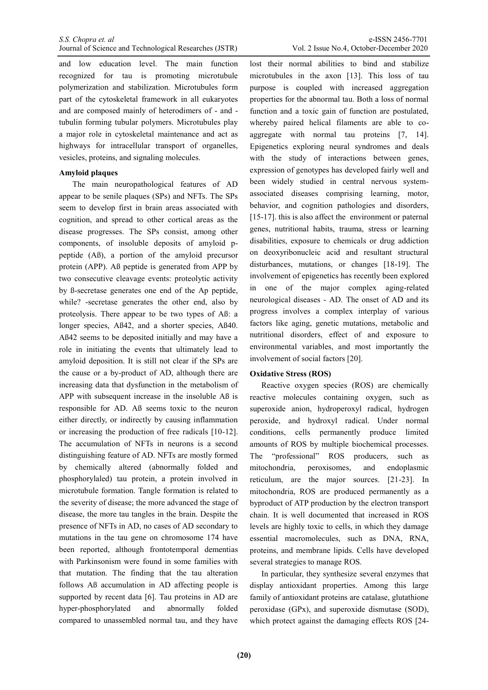and low education level. The main function recognized for tau is promoting microtubule polymerization and stabilization. Microtubules form part of the cytoskeletal framework in all eukaryotes and are composed mainly of heterodimers of - and tubulin forming tubular polymers. Microtubules play a major role in cytoskeletal maintenance and act as highways for intracellular transport of organelles, vesicles, proteins, and signaling molecules.

## **Amyloid plaques**

The main neuropathological features of AD appear to be senile plaques (SPs) and NFTs. The SPs seem to develop first in brain areas associated with cognition, and spread to other cortical areas as the disease progresses. The SPs consist, among other components, of insoluble deposits of amyloid ppeptide (Aß), a portion of the amyloid precursor protein (APP). Aß peptide is generated from APP by two consecutive cleavage events: proteolytic activity by ß-secretase generates one end of the Ap peptide, while? -secretase generates the other end, also by proteolysis. There appear to be two types of Aß: a longer species, Aß42, and a shorter species, Aß40. Aß42 seems to be deposited initially and may have a role in initiating the events that ultimately lead to amyloid deposition. It is still not clear if the SPs are the cause or a by-product of AD, although there are increasing data that dysfunction in the metabolism of APP with subsequent increase in the insoluble Aß is responsible for AD. Aß seems toxic to the neuron either directly, or indirectly by causing inflammation or increasing the production of free radicals [10-12]. The accumulation of NFTs in neurons is a second distinguishing feature of AD. NFTs are mostly formed by chemically altered (abnormally folded and phosphorylaled) tau protein, a protein involved in microtubule formation. Tangle formation is related to the severity of disease; the more advanced the stage of disease, the more tau tangles in the brain. Despite the presence of NFTs in AD, no cases of AD secondary to mutations in the tau gene on chromosome 174 have been reported, although frontotemporal dementias with Parkinsonism were found in some families with that mutation. The finding that the tau alteration follows Aß accumulation in AD affecting people is supported by recent data [6]. Tau proteins in AD are hyper-phosphorylated and abnormally folded compared to unassembled normal tau, and they have

lost their normal abilities to bind and stabilize microtubules in the axon [13]. This loss of tau purpose is coupled with increased aggregation properties for the abnormal tau. Both a loss of normal function and a toxic gain of function are postulated, whereby paired helical filaments are able to coaggregate with normal tau proteins [7, 14]. Epigenetics exploring neural syndromes and deals with the study of interactions between genes, expression of genotypes has developed fairly well and been widely studied in central nervous systemassociated diseases comprising learning, motor, behavior, and cognition pathologies and disorders, [15-17]. this is also affect the environment or paternal genes, nutritional habits, trauma, stress or learning disabilities, exposure to chemicals or drug addiction on deoxyribonucleic acid and resultant structural disturbances, mutations, or changes [18-19]. The involvement of epigenetics has recently been explored in one of the major complex aging-related neurological diseases - AD. The onset of AD and its progress involves a complex interplay of various factors like aging, genetic mutations, metabolic and nutritional disorders, effect of and exposure to environmental variables, and most importantly the involvement of social factors [20].

# **Oxidative Stress (ROS)**

Reactive oxygen species (ROS) are chemically reactive molecules containing oxygen, such as superoxide anion, hydroperoxyl radical, hydrogen peroxide, and hydroxyl radical. Under normal conditions, cells permanently produce limited amounts of ROS by multiple biochemical processes. The "professional" ROS producers, such as mitochondria, peroxisomes, and endoplasmic reticulum, are the major sources. [21-23]. In mitochondria, ROS are produced permanently as a byproduct of ATP production by the electron transport chain. It is well documented that increased in ROS levels are highly toxic to cells, in which they damage essential macromolecules, such as DNA, RNA, proteins, and membrane lipids. Cells have developed several strategies to manage ROS.

In particular, they synthesize several enzymes that display antioxidant properties. Among this large family of antioxidant proteins are catalase, glutathione peroxidase (GPx), and superoxide dismutase (SOD), which protect against the damaging effects ROS [24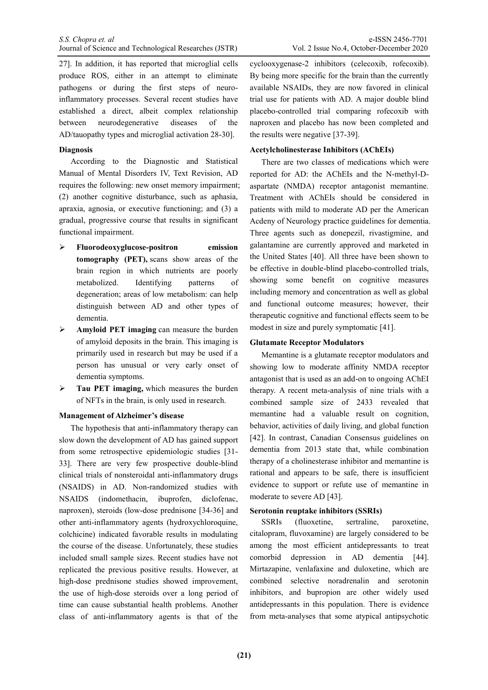27]. In addition, it has reported that microglial cells produce ROS, either in an attempt to eliminate pathogens or during the first steps of neuroinflammatory processes. Several recent studies have established a direct, albeit complex relationship between neurodegenerative diseases of the AD/tauopathy types and microglial activation 28-30].

### **Diagnosis**

According to the Diagnostic and Statistical Manual of Mental Disorders IV, Text Revision, AD requires the following: new onset memory impairment; (2) another cognitive disturbance, such as aphasia, apraxia, agnosia, or executive functioning; and (3) a gradual, progressive course that results in significant functional impairment.

- **Fluorodeoxyglucose-positron emission tomography (PET),** scans show areas of the brain region in which nutrients are poorly metabolized. Identifying patterns of degeneration; areas of low metabolism: can help distinguish between AD and other types of dementia.
- **Amyloid PET imaging** can measure the burden of amyloid deposits in the brain. This imaging is primarily used in research but may be used if a person has unusual or very early onset of dementia symptoms.
- **Tau PET imaging,** which measures the burden of NFTs in the brain, is only used in research.

#### **Management of Alzheimer's disease**

The hypothesis that anti-inflammatory therapy can slow down the development of AD has gained support from some retrospective epidemiologic studies [31- 33]. There are very few prospective double-blind clinical trials of nonsteroidal anti-inflammatory drugs (NSAIDS) in AD. Non-randomized studies with NSAIDS (indomethacin, ibuprofen, diclofenac, naproxen), steroids (low-dose prednisone [34-36] and other anti-inflammatory agents (hydroxychloroquine, colchicine) indicated favorable results in modulating the course of the disease. Unfortunately, these studies included small sample sizes. Recent studies have not replicated the previous positive results. However, at high-dose prednisone studies showed improvement, the use of high-dose steroids over a long period of time can cause substantial health problems. Another class of anti-inflammatory agents is that of the

cyclooxygenase-2 inhibitors (celecoxib, rofecoxib). By being more specific for the brain than the currently available NSAIDs, they are now favored in clinical trial use for patients with AD. A major double blind placebo-controlled trial comparing rofecoxib with naproxen and placebo has now been completed and the results were negative [37-39].

#### **Acetylcholinesterase Inhibitors (AChEIs)**

There are two classes of medications which were reported for AD: the AChEIs and the N-methyl-Daspartate (NMDA) receptor antagonist memantine. Treatment with AChEIs should be considered in patients with mild to moderate AD per the American Acdeny of Neurology practice guidelines for dementia. Three agents such as donepezil, rivastigmine, and galantamine are currently approved and marketed in the United States [40]. All three have been shown to be effective in double-blind placebo-controlled trials, showing some benefit on cognitive measures including memory and concentration as well as global and functional outcome measures; however, their therapeutic cognitive and functional effects seem to be modest in size and purely symptomatic [41].

### **Glutamate Receptor Modulators**

Memantine is a glutamate receptor modulators and showing low to moderate affinity NMDA receptor antagonist that is used as an add-on to ongoing AChEI therapy. A recent meta-analysis of nine trials with a combined sample size of 2433 revealed that memantine had a valuable result on cognition, behavior, activities of daily living, and global function [42]. In contrast, Canadian Consensus guidelines on dementia from 2013 state that, while combination therapy of a cholinesterase inhibitor and memantine is rational and appears to be safe, there is insufficient evidence to support or refute use of memantine in moderate to severe AD [43].

#### **Serotonin reuptake inhibitors (SSRIs)**

SSRIs (fluoxetine, sertraline, paroxetine, citalopram, fluvoxamine) are largely considered to be among the most efficient antidepressants to treat comorbid depression in AD dementia [44]. Mirtazapine, venlafaxine and duloxetine, which are combined selective noradrenalin and serotonin inhibitors, and bupropion are other widely used antidepressants in this population. There is evidence from meta-analyses that some atypical antipsychotic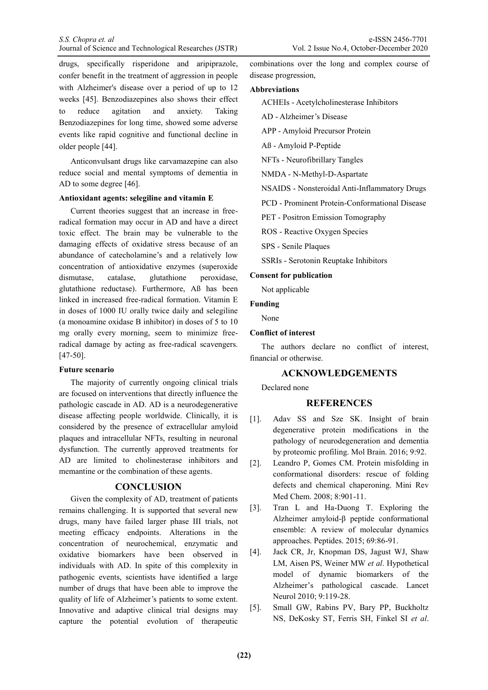drugs, specifically risperidone and aripiprazole, confer benefit in the treatment of aggression in people with Alzheimer's disease over a period of up to 12 weeks [45]. Benzodiazepines also shows their effect to reduce agitation and anxiety. Taking Benzodiazepines for long time, showed some adverse events like rapid cognitive and functional decline in older people [44].

Anticonvulsant drugs like carvamazepine can also reduce social and mental symptoms of dementia in AD to some degree [46].

## **Antioxidant agents: selegiline and vitamin E**

Current theories suggest that an increase in freeradical formation may occur in AD and have a direct toxic effect. The brain may be vulnerable to the damaging effects of oxidative stress because of an abundance of catecholamine's and a relatively low concentration of antioxidative enzymes (superoxide dismutase, catalase, glutathione peroxidase, glutathione reductase). Furthermore, Aß has been linked in increased free-radical formation. Vitamin E in doses of 1000 IU orally twice daily and selegiline (a monoamine oxidase B inhibitor) in doses of 5 to 10 mg orally every morning, seem to minimize freeradical damage by acting as free-radical scavengers. [47-50].

#### **Future scenario**

The majority of currently ongoing clinical trials are focused on interventions that directly influence the pathologic cascade in AD. AD is a neurodegenerative disease affecting people worldwide. Clinically, it is considered by the presence of extracellular amyloid plaques and intracellular NFTs, resulting in neuronal dysfunction. The currently approved treatments for AD are limited to cholinesterase inhibitors and memantine or the combination of these agents.

## **CONCLUSION**

Given the complexity of AD, treatment of patients remains challenging. It is supported that several new drugs, many have failed larger phase III trials, not meeting efficacy endpoints. Alterations in the concentration of neurochemical, enzymatic and oxidative biomarkers have been observed in individuals with AD. In spite of this complexity in pathogenic events, scientists have identified a large number of drugs that have been able to improve the quality of life of Alzheimer's patients to some extent. Innovative and adaptive clinical trial designs may capture the potential evolution of therapeutic

combinations over the long and complex course of disease progression,

#### **Abbreviations**

ACHEIs - Acetylcholinesterase Inhibitors

- AD Alzheimer's Disease
- APP Amyloid Precursor Protein
- Aß Amyloid P-Peptide

NFTs - Neurofibrillary Tangles

NMDA - N-Methyl-D-Aspartate

NSAIDS - Nonsteroidal Anti-Inflammatory Drugs

PCD - Prominent Protein-Conformational Disease

PET - Positron Emission Tomography

ROS - Reactive Oxygen Species

SPS - Senile Plaques

SSRIs - Serotonin Reuptake Inhibitors

#### **Consent for publication**

Not applicable

#### **Funding**

None

#### **Conflict of interest**

The authors declare no conflict of interest, financial or otherwise.

## **ACKNOWLEDGEMENTS**

Declared none

## **REFERENCES**

- [1]. Aday SS and Sze SK. Insight of brain degenerative protein modifications in the pathology of neurodegeneration and dementia by proteomic profiling. Mol Brain. 2016; 9:92.
- [2]. Leandro P, Gomes CM. Protein misfolding in conformational disorders: rescue of folding defects and chemical chaperoning. Mini Rev Med Chem. 2008; 8:901-11.
- [3]. Tran L and Ha-Duong T. Exploring the Alzheimer amyloid-β peptide conformational ensemble: A review of molecular dynamics approaches. Peptides. 2015; 69:86-91.
- [4]. Jack CR, Jr, Knopman DS, Jagust WJ, Shaw LM, Aisen PS, Weiner MW *et al*. Hypothetical model of dynamic biomarkers of the Alzheimer's pathological cascade. Lancet Neurol 2010; 9:119-28.
- [5]. Small GW, Rabins PV, Bary PP, Buckholtz NS, DeKosky ST, Ferris SH, Finkel SI *et al*.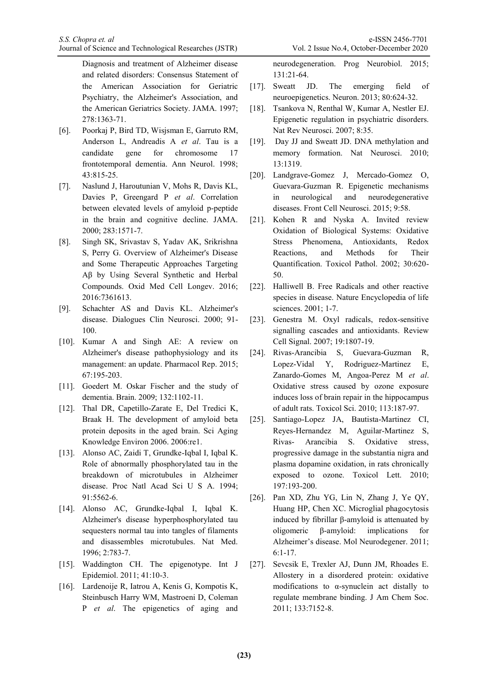Diagnosis and treatment of Alzheimer disease and related disorders: Consensus Statement of the American Association for Geriatric Psychiatry, the Alzheimer's Association, and the American Geriatrics Society. JAMA. 1997; 278:1363-71.

- [6]. Poorkaj P, Bird TD, Wisjsman E, Garruto RM, Anderson L, Andreadis A *et al*. Tau is a candidate gene for chromosome 17 frontotemporal dementia. Ann Neurol. 1998; 43:815-25.
- [7]. Naslund J, Haroutunian V, Mohs R, Davis KL, Davies P, Greengard P *et al*. Correlation between elevated levels of amyloid p-peptide in the brain and cognitive decline. JAMA. 2000; 283:1571-7.
- [8]. Singh SK, Srivastav S, Yadav AK, Srikrishna S, Perry G. Overview of Alzheimer's Disease and Some Therapeutic Approaches Targeting Aβ by Using Several Synthetic and Herbal Compounds. Oxid Med Cell Longev. 2016; 2016:7361613.
- [9]. Schachter AS and Davis KL. Alzheimer's disease. Dialogues Clin Neurosci. 2000; 91- 100.
- [10]. Kumar A and Singh AE: A review on Alzheimer's disease pathophysiology and its management: an update. Pharmacol Rep. 2015; 67:195-203.
- [11]. Goedert M. Oskar Fischer and the study of dementia. Brain. 2009; 132:1102-11.
- [12]. Thal DR, Capetillo-Zarate E, Del Tredici K, Braak H. The development of amyloid beta protein deposits in the aged brain. Sci Aging Knowledge Environ 2006. 2006:re1.
- [13]. Alonso AC, Zaidi T, Grundke-Iqbal I, Iqbal K. Role of abnormally phosphorylated tau in the breakdown of microtubules in Alzheimer disease. Proc Natl Acad Sci U S A. 1994; 91:5562-6.
- [14]. Alonso AC, Grundke-Iqbal I, Iqbal K. Alzheimer's disease hyperphosphorylated tau sequesters normal tau into tangles of filaments and disassembles microtubules. Nat Med. 1996; 2:783-7.
- [15]. Waddington CH. The epigenotype. Int J Epidemiol. 2011; 41:10-3.
- [16]. Lardenoije R, Iatrou A, Kenis G, Kompotis K, Steinbusch Harry WM, Mastroeni D, Coleman P *et al*. The epigenetics of aging and

neurodegeneration. Prog Neurobiol. 2015; 131:21-64.

- [17]. Sweatt JD. The emerging field of neuroepigenetics. Neuron. 2013; 80:624-32.
- [18]. Tsankova N, Renthal W, Kumar A, Nestler EJ. Epigenetic regulation in psychiatric disorders. Nat Rev Neurosci. 2007; 8:35.
- [19]. Day JJ and Sweatt JD. DNA methylation and memory formation. Nat Neurosci. 2010; 13:1319.
- [20]. Landgrave-Gomez J, Mercado-Gomez O, Guevara-Guzman R. Epigenetic mechanisms in neurological and neurodegenerative diseases. Front Cell Neurosci. 2015; 9:58.
- [21]. Kohen R and Nyska A. Invited review Oxidation of Biological Systems: Oxidative Stress Phenomena, Antioxidants, Redox Reactions, and Methods for Their Quantification. Toxicol Pathol. 2002; 30:620- 50.
- [22]. Halliwell B. Free Radicals and other reactive species in disease. Nature Encyclopedia of life sciences. 2001; 1-7.
- [23]. Genestra M. Oxyl radicals, redox-sensitive signalling cascades and antioxidants. Review Cell Signal. 2007; 19:1807-19.
- [24]. Rivas-Arancibia S, Guevara-Guzman R, Lopez-Vidal Y, Rodriguez-Martinez E, Zanardo-Gomes M, Angoa-Perez M *et al*. Oxidative stress caused by ozone exposure induces loss of brain repair in the hippocampus of adult rats. Toxicol Sci. 2010; 113:187-97.
- [25]. Santiago-Lopez JA, Bautista-Martinez CI, Reyes-Hernandez M, Aguilar-Martinez S, Rivas- Arancibia S. Oxidative stress, progressive damage in the substantia nigra and plasma dopamine oxidation, in rats chronically exposed to ozone. Toxicol Lett. 2010; 197:193-200.
- [26]. Pan XD, Zhu YG, Lin N, Zhang J, Ye QY, Huang HP, Chen XC. Microglial phagocytosis induced by fibrillar β-amyloid is attenuated by oligomeric β-amyloid: implications for Alzheimer's disease. Mol Neurodegener. 2011;  $6:1-17$
- [27]. Sevcsik E, Trexler AJ, Dunn JM, Rhoades E. Allostery in a disordered protein: oxidative modifications to  $\alpha$ -synuclein act distally to regulate membrane binding. J Am Chem Soc. 2011; 133:7152-8.